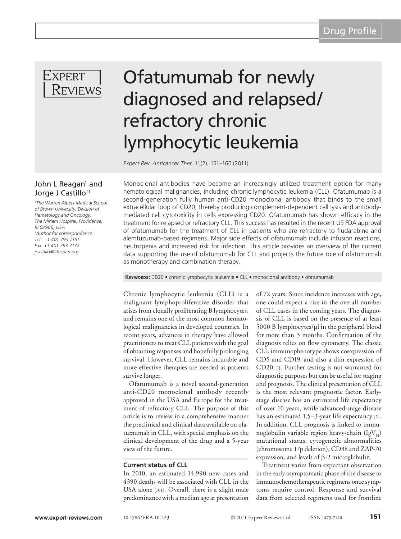# **EXPERT** REVIEWS

# Ofatumumab for newly diagnosed and relapsed/ refractory chronic lymphocytic leukemia

*Expert Rev. Anticancer Ther.* 11(2), 151–160 (2011)

#### John L Reagan<sup>1</sup> and Jorge J Castillo<sup>†1</sup>

*1 The Warren Alpert Medical School of Brown University, Division of Hematology and Oncology, The Miriam Hospital, Providence, RI 02906, USA † Author for correspondence: Tel.: +1 401 793 7151 Fax: +1 401 793 7132 jcastillo@lifespan.org*

Monoclonal antibodies have become an increasingly utilized treatment option for many hematological malignancies, including chronic lymphocytic leukemia (CLL). Ofatumumab is a second-generation fully human anti-CD20 monoclonal antibody that binds to the small extracellular loop of CD20, thereby producing complement-dependent cell lysis and antibodymediated cell cytotoxicity in cells expressing CD20. Ofatumumab has shown efficacy in the treatment for relapsed or refractory CLL. This success has resulted in the recent US FDA approval of ofatumumab for the treatment of CLL in patients who are refractory to fludarabine and alemtuzumab-based regimens. Major side effects of ofatumumab include infusion reactions, neutropenia and increased risk for infection. This article provides an overview of the current data supporting the use of ofatumumab for CLL and projects the future role of ofatumumab as monotherapy and combination therapy.

**Keywords:** CD20 • chronic lymphocytic leukemia • CLL • monoclonal antibody • ofatumumab

Chronic lymphocytic leukemia (CLL) is a malignant lymphoproliferative disorder that arises from clonally proliferating B lymphocytes, and remains one of the most common hematological malignancies in developed countries. In recent years, advances in therapy have allowed practitioners to treat CLL patients with the goal of obtaining responses and hopefully prolonging survival. However, CLL remains incurable and more effective therapies are needed as patients survive longer.

Ofatumumab is a novel second-generation anti-CD20 monoclonal antibody recently approved in the USA and Europe for the treatment of refractory CLL. The purpose of this article is to review in a comprehensive manner the preclinical and clinical data available on ofatumumab in CLL, with special emphasis on the clinical development of the drug and a 5-year view of the future.

#### **Current status of CLL**

In 2010, an estimated 14,990 new cases and 4390 deaths will be associated with CLL in the USA alone [101]. Overall, there is a slight male predominance with a median age at presentation

of 72 years. Since incidence increases with age, one could expect a rise in the overall number of CLL cases in the coming years. The diagnosis of CLL is based on the presence of at least 5000 B lymphocytes/µl in the peripheral blood for more than 3 months. Confirmation of the diagnosis relies on flow cytometry. The classic CLL immunophenotype shows coexpression of CD5 and CD19, and also a dim expression of CD20 [1]. Further testing is not warranted for diagnostic purposes but can be useful for staging and prognosis. The clinical presentation of CLL is the most relevant prognostic factor. Earlystage disease has an estimated life expectancy of over 10 years, while advanced-stage disease has an estimated 1.5–3-year life expectancy [2]. In addition, CLL prognosis is linked to immunoglobulin variable region heavy-chain  $(IgV_{H})$ mutational status, cytogenetic abnormalities (chromosome 17p deletion), CD38 and ZAP-70 expression, and levels of  $\beta$ -2 microglobulin.

Treatment varies from expectant observation in the early asymptomatic phase of the disease to immunochemotherapeutic regimens once symptoms require control. Response and survival data from selected regimens used for frontline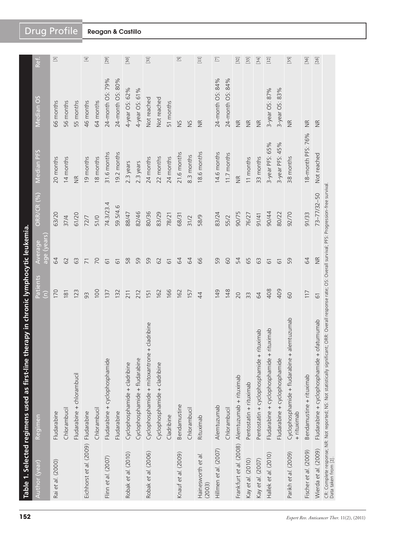# Drug Profile Reagan & Castillo

|                              | Table 1. Selected regimens used as first-line therapy in chronic lymphocytic leukemia                                                                                                |                |                        |             |                         |                    |                                                                                                                                                                                                                                                                                                                                                                                                                                                                                                                                                                                                                                                                               |
|------------------------------|--------------------------------------------------------------------------------------------------------------------------------------------------------------------------------------|----------------|------------------------|-------------|-------------------------|--------------------|-------------------------------------------------------------------------------------------------------------------------------------------------------------------------------------------------------------------------------------------------------------------------------------------------------------------------------------------------------------------------------------------------------------------------------------------------------------------------------------------------------------------------------------------------------------------------------------------------------------------------------------------------------------------------------|
| Author (year)                | Regimen                                                                                                                                                                              | Patients<br>Ĝ  | age (years)<br>Average | ORR/CR (%)  | <b>Median PFS</b>       | Median OS          | Ref.                                                                                                                                                                                                                                                                                                                                                                                                                                                                                                                                                                                                                                                                          |
| Rai et al. (2000)            | Fludarabine                                                                                                                                                                          | 170            | 64                     | 63/20       | 20 months               | 66 months          | $\begin{bmatrix} 3 \end{bmatrix}$                                                                                                                                                                                                                                                                                                                                                                                                                                                                                                                                                                                                                                             |
|                              | Chlorambucil                                                                                                                                                                         | 181            | 62                     | 37/4        | 14 months               | 56 months          |                                                                                                                                                                                                                                                                                                                                                                                                                                                                                                                                                                                                                                                                               |
|                              | Fludarabine + chlorambucil                                                                                                                                                           | 123            | 63                     | 61/20       | $\frac{\alpha}{2}$      | 55 months          |                                                                                                                                                                                                                                                                                                                                                                                                                                                                                                                                                                                                                                                                               |
| Eichhorst et al. (2009)      | Fludarabine                                                                                                                                                                          | 93             | $\overline{7}$         | 72/7        | 19 months               | 46 months          | $[4] % \includegraphics[width=0.9\columnwidth]{figures/fig_10.pdf} \caption{The graph $\mathcal{L}_1$ is a function of the parameter $\mathcal{L}_1$ and the number of parameters $\mathcal{L}_2$ and $\mathcal{L}_3$ are the number of parameters $\mathcal{L}_2$ and $\mathcal{L}_4$ are the number of parameters $\mathcal{L}_1$ and $\mathcal{L}_5$ are the number of parameters $\mathcal{L}_1$ and $\mathcal{L}_6$ are the number of parameters $\mathcal{L}_1$ and $\mathcal{L}_7$ are the number of parameters $\mathcal{L}_1$ and $\mathcal{L}_8$ are the number of parameters $\mathcal{L}_1$ and $\mathcal{L}_9$ are the number of parameters $\mathcal{L}_1$ and$ |
|                              | Chlorambucil                                                                                                                                                                         | 100            | $\overline{C}$         | 51/0        | 18 months               | 64 months          |                                                                                                                                                                                                                                                                                                                                                                                                                                                                                                                                                                                                                                                                               |
| Flinn et al. (2007)          | Fludarabine + cyclophosphamide                                                                                                                                                       | 137            | $\overline{6}$         | 74.3/23.4   | 31.6 months             | 24-month OS: 79%   | $[29]$                                                                                                                                                                                                                                                                                                                                                                                                                                                                                                                                                                                                                                                                        |
|                              | Fludarabine                                                                                                                                                                          | 132            | $\overline{6}$         | 59.5/4.6    | 19.2 months             | 24-month OS: 80%   |                                                                                                                                                                                                                                                                                                                                                                                                                                                                                                                                                                                                                                                                               |
| Robak et al. (2010)          | Cyclophosphamide + cladribine                                                                                                                                                        | 211            | 58                     | 88/47       | 2.3 years               | 4-year OS: 62%     | $[30]$                                                                                                                                                                                                                                                                                                                                                                                                                                                                                                                                                                                                                                                                        |
|                              | Cyclophosphamide + fludarabine                                                                                                                                                       | 212            | 59                     | 82/46       | 2.3 years               | 4-year OS: 61%     |                                                                                                                                                                                                                                                                                                                                                                                                                                                                                                                                                                                                                                                                               |
| Robak et al. (2006)          | Cyclophosphamide + mitoxantrone + cladribine                                                                                                                                         | 151            | 59                     | 80/36       | 24 months               | Not reached        | $[31]$                                                                                                                                                                                                                                                                                                                                                                                                                                                                                                                                                                                                                                                                        |
|                              | Cyclophosphamide + cladribine                                                                                                                                                        | 162            | 62                     | 83/29       | 22 months               | Not reached        |                                                                                                                                                                                                                                                                                                                                                                                                                                                                                                                                                                                                                                                                               |
|                              | Cladribine                                                                                                                                                                           | 166            | $\overline{6}$         | 78/21       | 24 months               | 51 months          |                                                                                                                                                                                                                                                                                                                                                                                                                                                                                                                                                                                                                                                                               |
| Knauf et al. (2009)          | Bendamustine                                                                                                                                                                         | 162            | 64                     | 68/31       | 21.6 months             | $\frac{5}{2}$      | $\boxed{5}$                                                                                                                                                                                                                                                                                                                                                                                                                                                                                                                                                                                                                                                                   |
|                              | Chlorambucil                                                                                                                                                                         | 157            | 64                     | 31/2        | 8.3 months              | $\frac{5}{2}$      |                                                                                                                                                                                                                                                                                                                                                                                                                                                                                                                                                                                                                                                                               |
| Hainesworth et al.<br>(2003) | Rituximab                                                                                                                                                                            | 44             | 66                     | 58/9        | 18.6 months             | $\frac{\kappa}{2}$ | $[11]$                                                                                                                                                                                                                                                                                                                                                                                                                                                                                                                                                                                                                                                                        |
| Hillmen et al. (2007)        | Alemtuzumab                                                                                                                                                                          | 149            | 59                     | 83/24       | 14.6 months             | 24-month OS: 84%   | $\Xi$                                                                                                                                                                                                                                                                                                                                                                                                                                                                                                                                                                                                                                                                         |
|                              | Chlorambucil                                                                                                                                                                         | 148            | 60                     | 55/2        | 11.7 months             | 24-month OS: 84%   |                                                                                                                                                                                                                                                                                                                                                                                                                                                                                                                                                                                                                                                                               |
| Frankfurt et al. (2008)      | Alemtuzumab + rituximab                                                                                                                                                              | 20             | 54                     | 90/75       | $\frac{\alpha}{\alpha}$ | $\widetilde{\Xi}$  | $[32]$                                                                                                                                                                                                                                                                                                                                                                                                                                                                                                                                                                                                                                                                        |
| Kay et al. (2010)            | Pentostatin + rituximab                                                                                                                                                              | 33             | 65                     | 76/27       | 11 months               | $\frac{\kappa}{2}$ | $[33]$                                                                                                                                                                                                                                                                                                                                                                                                                                                                                                                                                                                                                                                                        |
| Kay et al. (2007)            | Pentostatin + cyclophosphamide + rituximab                                                                                                                                           | 64             | 63                     | 91/41       | 33 months               | $\frac{\alpha}{2}$ | $[34]$                                                                                                                                                                                                                                                                                                                                                                                                                                                                                                                                                                                                                                                                        |
| Hallek et al. (2010)         | Fludarabine + cyclophosphamide + rituximab                                                                                                                                           | 408            | $\overline{6}$         | 90/44       | 3-year PFS: 65%         | 3-year OS: 87%     | $[12]$                                                                                                                                                                                                                                                                                                                                                                                                                                                                                                                                                                                                                                                                        |
|                              | Fludarabine + cyclophosphamide                                                                                                                                                       | 409            | $\overline{6}$         | 80/22       | 3-year PFS: 45%         | 3-year OS: 83%     |                                                                                                                                                                                                                                                                                                                                                                                                                                                                                                                                                                                                                                                                               |
| Parikh et al. (2009)         | Cyclophosphamide + fludarabine + alemtuzumab<br>+ rituximab                                                                                                                          | 60             | 59                     | 92/70       | 38 months               | $\frac{\kappa}{2}$ | $[35]$                                                                                                                                                                                                                                                                                                                                                                                                                                                                                                                                                                                                                                                                        |
| Fischer et al. (2009)        | Bendamustine + rituximab                                                                                                                                                             | 117            | 64                     | 91/33       | 18-month PFS: 76%       | $\frac{R}{Z}$      | $[36]$                                                                                                                                                                                                                                                                                                                                                                                                                                                                                                                                                                                                                                                                        |
| Wierda et al. (2009)         | Fludarabine + cyclophosphamide + ofatumumab                                                                                                                                          | $\overline{6}$ | $\widetilde{\Xi}$      | 73-77/32-50 | Not reached             | $\frac{\kappa}{2}$ | $[26]$                                                                                                                                                                                                                                                                                                                                                                                                                                                                                                                                                                                                                                                                        |
|                              | CR: Complete response; NR: Not reported; NS: Not statistically significant; ORR: Overall response rate; OS: Overall survival; PFS: Progression-free survival<br>Data taken from [2]. |                |                        |             |                         |                    |                                                                                                                                                                                                                                                                                                                                                                                                                                                                                                                                                                                                                                                                               |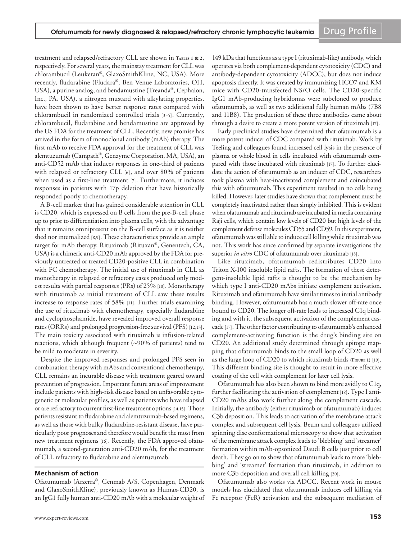treatment and relapsed/refractory CLL are shown in **Tables <sup>1</sup> & <sup>2</sup>**, respectively. For several years, the mainstay treatment for CLL was chlorambucil (Leukeran®, GlaxoSmithKline, NC, USA). More recently, fludarabine (Fludara®, Ben Venue Laboratories, OH, USA), a purine analog, and bendamustine (Treanda®, Cephalon, Inc., PA, USA), a nitrogen mustard with alkylating properties, have been shown to have better response rates compared with chlorambucil in randomized controlled trials [3–5]. Currently, chlorambucil, fludarabine and bendamustine are approved by the US FDA for the treatment of CLL. Recently, new promise has arrived in the form of monoclonal antibody (mAb) therapy. The first mAb to receive FDA approval for the treatment of CLL was alemtuzumab (Campath®, Genzyme Corporation, MA, USA), an anti-CD52 mAb that induces responses in one-third of patients with relapsed or refractory CLL [6], and over 80% of patients when used as a first-line treatment [7]. Furthermore, it induces responses in patients with 17p deletion that have historically responded poorly to chemotherapy.

A B-cell marker that has gained considerable attention in CLL is CD20, which is expressed on B cells from the pre-B-cell phase up to prior to differentiation into plasma cells, with the advantage that it remains omnipresent on the B-cell surface as it is neither shed nor internalized [8,9]. These characteristics provide an ample target for mAb therapy. Rituximab (Rituxan®, Genentech, CA, USA) is a chimeric anti-CD20 mAb approved by the FDA for previously untreated or treated CD20-positive CLL in combination with FC chemotherapy. The initial use of rituximab in CLL as monotherapy in relapsed or refractory cases produced only modest results with partial responses (PRs) of 25% [10]. Monotherapy with rituximab as initial treatment of CLL saw these results increase to response rates of 58% [11]. Further trials examining the use of rituximab with chemotherapy, especially fludarabine and cyclophosphamide, have revealed improved overall response rates (ORRs) and prolonged progression-free survival (PFS) [12,13]. The main toxicity associated with rituximab is infusion-related reactions, which although frequent (~90% of patients) tend to be mild to moderate in severity.

Despite the improved responses and prolonged PFS seen in combination therapy with mAbs and conventional chemotherapy, CLL remains an incurable disease with treatment geared toward prevention of progression. Important future areas of improvement include patients with high-risk disease based on unfavorable cytogenetic or molecular profiles, as well as patients who have relapsed or are refractory to current first-line treatment options [14,15]. Those patients resistant to fludarabine and alemtuzumab-based regimens, as well as those with bulky fludarabine-resistant disease, have particularly poor prognoses and therefore would benefit the most from new treatment regimens [16]. Recently, the FDA approved ofatumumab, a second-generation anti-CD20 mAb, for the treatment of CLL refractory to fludarabine and alemtuzumab.

#### **Mechanism of action**

Ofatumumab (Arzerra®, Genmab A/S, Copenhagen, Denmark and GlaxoSmithKline), previously known as Humax-CD20, is an IgG1 fully human anti-CD20 mAb with a molecular weight of

149 kDa that functions as a type I (rituximab-like) antibody, which operates via both complement-dependent cytotoxicity (CDC) and antibody-dependent cytotoxicity (ADCC), but does not induce apoptosis directly. It was created by immunizing HCO7 and KM mice with CD20-transfected NS/O cells. The CD20-specific IgG1 mAb-producing hybridomas were subcloned to produce ofatumumab, as well as two additional fully human mAbs (7B8 and 11B8). The production of these three antibodies came about through a desire to create a more potent version of rituximab [17].

Early preclinical studies have determined that ofatumumab is a more potent inducer of CDC compared with rituximab. Work by Teeling and colleagues found increased cell lysis in the presence of plasma or whole blood in cells incubated with ofatumumab compared with those incubated with rituximab [17]. To further elucidate the action of ofatumumab as an inducer of CDC, researchers took plasma with heat-inactivated complement and coincubated this with ofatumumab. This experiment resulted in no cells being killed. However, later studies have shown that complement must be completely inactivated rather than simply inhibited. This is evident when ofatumumab and rituximab are incubated in media containing Raji cells, which contain low levels of CD20 but high levels of the complement defense molecules CD55 and CD59. In this experiment, ofatumumab was still able to induce cell killing while rituximab was not. This work has since confirmed by separate investigations the superior *in vitro* CDC of ofatumumab over rituximab [18].

Like rituximab, ofatumumab redistributes CD20 into Triton X-100 insoluble lipid rafts. The formation of these detergent-insoluble lipid rafts is thought to be the mechanism by which type I anti-CD20 mAbs initiate complement activation. Rituximab and ofatumumab have similar times to initial antibody binding. However, ofatumumab has a much slower off-rate once bound to CD20. The longer off-rate leads to increased C1q binding and with it, the subsequent activation of the complement cascade [17]. The other factor contributing to ofatumumab's enhanced complement-activating function is the drug's binding site on CD20. An additional study determined through epitope mapping that ofatumumab binds to the small loop of CD20 as well as the large loop of CD20 to which rituximab binds **(Figure 1)** [19]. This different binding site is thought to result in more effective coating of the cell with complement for later cell lysis.

Ofatumumab has also been shown to bind more avidly to C1q, further facilitating the activation of complement [18]. Type I anti-CD20 mAbs also work further along the complement cascade. Initially, the antibody (either rituximab or ofatumumab) induces C3b deposition. This leads to activation of the membrane attack complex and subsequent cell lysis. Beum and colleagues utilized spinning disc conformational microscopy to show that activation of the membrane attack complex leads to 'blebbing' and 'streamer' formation within mAb-opsonized Daudi B cells just prior to cell death. They go on to show that ofatumumab leads to more 'blebbing' and 'streamer' formation than rituximab, in addition to more C3b deposition and overall cell killing [20].

Ofatumumab also works via ADCC. Recent work in mouse models has elucidated that ofatumumab induces cell killing via Fc receptor (FcR) activation and the subsequent mediation of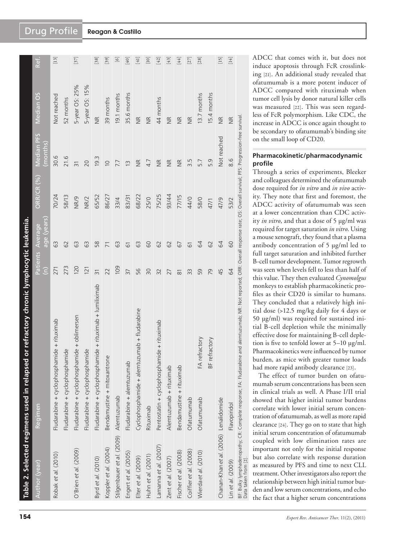|                                        | or refractory chronic lymphocytic leukemia.<br>Table 2. Selected regimens used in relapsed                                                                                            |                     |                                          |             |                                |                         |         |
|----------------------------------------|---------------------------------------------------------------------------------------------------------------------------------------------------------------------------------------|---------------------|------------------------------------------|-------------|--------------------------------|-------------------------|---------|
| <b>Author (year)</b>                   | Regimen                                                                                                                                                                               | Ξ                   | age (year <u>s</u> )<br>Patients Average | ORR/CR (%)  | Median PFS<br>(month <u>s)</u> | Median OS               | Ref.    |
| Robak et al. (2010)                    | Fludarabine + cyclophosphamide + rituximab                                                                                                                                            | 271                 | 63                                       | 70/24       | 30.6                           | Not reached             | $[13]$  |
|                                        | Fludarabine + cyclophosphamide                                                                                                                                                        | 273                 | 62                                       | 58/13       | 21.6                           | 52 months               |         |
| O'Brien et al. (2009)                  | Fludarabine + cyclophosphamide + oblimersen                                                                                                                                           | 120                 | 63                                       | <b>NR/9</b> | $\overline{3}$                 | 5-year OS: 25%          | $[37]$  |
|                                        | Fludarabine + cyclophosphamide                                                                                                                                                        | 121                 | 63                                       | <b>NR/2</b> | 20                             | 5-year OS: 15%          |         |
| Byrd et al. (2010)                     | Fludarabine + cyclophosphamide + rituximab + lumiliximab                                                                                                                              | $\overline{3}$      | 58                                       | 65/52       | 19.3                           | $\frac{\alpha}{\alpha}$ | $[38]$  |
| Koppler et al. (2004)                  | Bendamustine + mitoxantrone                                                                                                                                                           | 22                  | $\overline{7}$                           | 86/27       | $\cup$                         | 39 months               | $[39]$  |
| Stilgenbauer et al. (2009)             | Alemtuzumab                                                                                                                                                                           | 109                 | 63                                       | 33/4        | 7.7                            | 19.1 months             | $\odot$ |
| Engert et al. (2005)                   | Fludarabine + alemtuzumab                                                                                                                                                             | 37                  | 61                                       | 83/31       | $\tilde{=}$                    | 35.6 months             | $[40]$  |
| Elter et al. (2009)                    | Cyclophosphamide + alemtuzumab + fludarabine                                                                                                                                          | 56                  | 63                                       | 68/22       | $\frac{\kappa}{2}$             | $\frac{\alpha}{\alpha}$ | [41]    |
| Huhn et al. (2001)                     | Rituximab                                                                                                                                                                             | $\overline{50}$     | 60                                       | 25/0        | 4.7                            | $\frac{\kappa}{2}$      | $[10]$  |
| Lamanna et al. (2007)                  | Pentostatin + cyclophosphamide + rituximab                                                                                                                                            | 32                  | 62                                       | 75/25       | $\frac{\kappa}{2}$             | 44 months               | $[42]$  |
| Zent et al. (2007)                     | Alemtuzumab + rituximab                                                                                                                                                               | 27                  | 62                                       | 93/44       | $\frac{R}{Z}$                  | $\frac{\kappa}{2}$      | $[43]$  |
| Fischer et al. (2008)                  | Bendamustine + rituximab                                                                                                                                                              | $\overline{\infty}$ | 67                                       | 77/15       | $\frac{R}{Z}$                  | $\frac{\alpha}{\alpha}$ | [44]    |
| Coiffier et al. (2008)                 | Ofatumumab                                                                                                                                                                            | 33                  | $\overline{6}$                           | 44/0        | 3.5                            | $\frac{\kappa}{2}$      | $[27]$  |
| Wierda et al. (2010)                   | FA refractory<br>Ofatumumab                                                                                                                                                           | 59                  | 64                                       | 58/0        | 5.7                            | 13.7 months             | $[28]$  |
|                                        | BF refractory                                                                                                                                                                         | 79                  | 62                                       | 47/1        | 5.9                            | 15.4 months             |         |
| Chanan-Khan et al. (2006) Lenalidomide |                                                                                                                                                                                       | 45                  | 64                                       | 47/9        | Not reached                    | $\frac{\alpha}{\alpha}$ | $[15]$  |
| Lin et al. (2009)                      | Flavopiridol                                                                                                                                                                          | 64                  | 60                                       | 53/2        | 8.6                            | $\frac{\kappa}{2}$      | $[14]$  |
| Data taken from [2].                   | BF: Bulky lymphadenopathy; CR: Complete response; FA: Fludarabine and alemtuzumab; NR: Not reported; ORR: Overall response rate; OS: Overall survival; PFS: Progression-free survival |                     |                                          |             |                                |                         |         |

ADCC that comes with it, but does not induce apoptosis through FcR crosslinking [21]. An additional study revealed that ofatumumab is a more potent inducer of ADCC compared with rituximab when tumor cell lysis by donor natural killer cells was measured [22]. This was seen regardless of FcR polymorphism. Like CDC, the increase in ADCC is once again thought to be secondary to ofatumumab's binding site on the small loop of CD20.

#### **Pharmacokinetic/pharmacodynamic profile**

Through a series of experiments, Bleeker and colleagues determined the ofatumumab dose required for *in vitro* and *in vivo* activity. They note that first and foremost, the ADCC activity of ofatumumab was seen at a lower concentration than CDC activity *in vitro*, and that a dose of 5 µg/ml was required for target saturation *in vitro*. Using a mouse xenograft, they found that a plasma antibody concentration of 5 µg/ml led to full target saturation and inhibited further B-cell tumor development. Tumor regrowth was seen when levels fell to less than half of this value. They then evaluated *Cynomolgus* monkeys to establish pharmacokinetic profiles as their CD20 is similar to humans. They concluded that a relatively high initial dose (>12.5 mg/kg daily for 4 days or 50 µg/ml) was required for sustained initial B-cell depletion while the minimally effective dose for maintaining B-cell depletion is five to tenfold lower at 5–10 µg/ml. Pharmacokinetics were influenced by tumor burden, as mice with greater tumor loads had more rapid antibody clearance [23].

The effect of tumor burden on ofatumumab serum concentrations has been seen in clinical trials as well. A Phase I/II trial showed that higher initial tumor burdens correlate with lower initial serum concentration of ofatumumab, as well as more rapid clearance [24]. They go on to state that high initial serum concentration of ofatumumab coupled with low elimination rates are important not only for the initial response but also correlate with response duration as measured by PFS and time to next CLL treatment. Other investigators also report the relationship between high initial tumor burden and low serum concentrations, and echo the fact that a higher serum concentrations

Data taken from [2].

รี<br>อี

## Drug Profile Reagan & Castillo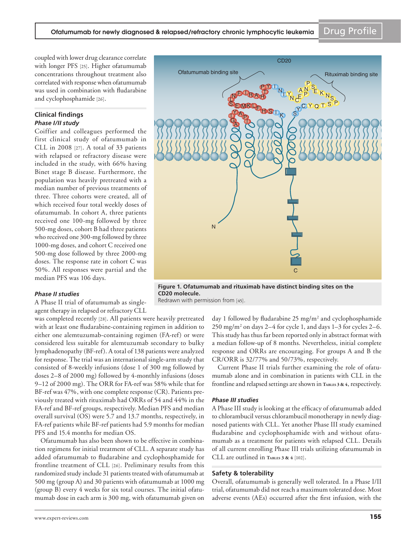coupled with lower drug clearance correlate with longer PFS [25]. Higher ofatumumab concentrations throughout treatment also correlated with response when ofatumumab was used in combination with fludarabine and cyclophosphamide [26].

#### **Clinical findings** *Phase I/II study*

Coiffier and colleagues performed the first clinical study of ofatumumab in CLL in 2008 [27]. A total of 33 patients with relapsed or refractory disease were included in the study, with 66% having Binet stage B disease. Furthermore, the population was heavily pretreated with a median number of previous treatments of three. Three cohorts were created, all of which received four total weekly doses of ofatumumab. In cohort A, three patients received one 100-mg followed by three 500-mg doses, cohort B had three patients who received one 300-mg followed by three 1000-mg doses, and cohort C received one 500-mg dose followed by three 2000-mg doses. The response rate in cohort C was 50%. All responses were partial and the median PFS was 106 days.

#### *Phase II studies*

A Phase II trial of ofatumumab as singleagent therapy in relapsed or refractory CLL

was completed recently [28]. All patients were heavily pretreated with at least one fludarabine-containing regimen in addition to either one alemtuzumab-containing regimen (FA-ref) or were considered less suitable for alemtuzumab secondary to bulky lymphadenopathy (BF-ref). A total of 138 patients were analyzed for response. The trial was an international single-arm study that consisted of 8-weekly infusions (dose 1 of 300 mg followed by doses 2–8 of 2000 mg) followed by 4-monthly infusions (doses 9–12 of 2000 mg). The ORR for FA-ref was 58% while that for BF-ref was 47%, with one complete response (CR). Patients previously treated with rituximab had ORRs of 54 and 44% in the FA-ref and BF-ref groups, respectively. Median PFS and median overall survival (OS) were 5.7 and 13.7 months, respectively, in FA-ref patients while BF-ref patients had 5.9 months for median PFS and 15.4 months for median OS.

Ofatumumab has also been shown to be effective in combination regimens for initial treatment of CLL. A separate study has added ofatumumab to fludarabine and cyclophosphamide for frontline treatment of CLL [26]. Preliminary results from this randomized study include 31 patients treated with ofatumumab at 500 mg (group A) and 30 patients with ofatumumab at 1000 mg (group B) every 4 weeks for six total courses. The initial ofatumumab dose in each arm is 300 mg, with ofatumumab given on



**Figure 1. Ofatumumab and rituximab have distinct binding sites on the CD20 molecule.**

Redrawn with permission from [45].

day 1 followed by fludarabine 25 mg/m<sup>2</sup> and cyclophosphamide 250 mg/m2 on days 2–4 for cycle 1, and days 1–3 for cycles 2–6. This study has thus far been reported only in abstract format with a median follow-up of 8 months. Nevertheless, initial complete response and ORRs are encouraging. For groups A and B the CR/ORR is 32/77% and 50/73%, respectively.

Current Phase II trials further examining the role of ofatumumab alone and in combination in patients with CLL in the frontline and relapsed settings are shown in **Tables <sup>3</sup> & <sup>4</sup>**, respectively.

#### *Phase III studies*

A Phase III study is looking at the efficacy of ofatumumab added to chlorambucil versus chlorambucil monotherapy in newly diagnosed patients with CLL. Yet another Phase III study examined fludarabine and cyclophosphamide with and without ofatumumab as a treatment for patients with relapsed CLL. Details of all current enrolling Phase III trials utilizing ofatumumab in CLL are outlined in **Tables <sup>3</sup> & <sup>4</sup>** [102].

#### **Safety & tolerability**

Overall, ofatumumab is generally well tolerated. In a Phase I/II trial, ofatumumab did not reach a maximum tolerated dose. Most adverse events (AEs) occurred after the first infusion, with the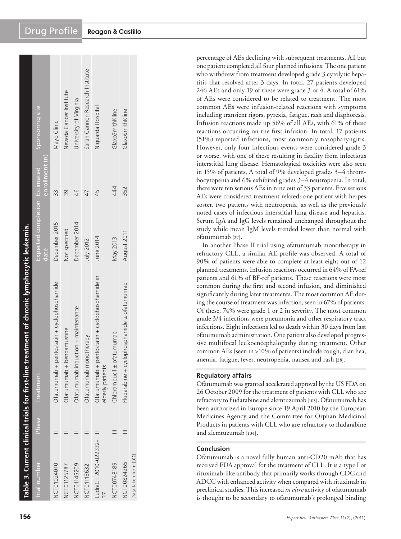### Drug Profile Reagan & Castillo

|                        |       | Table 3. Current clinical trials for first-line treatment of chronic lymphocytic leukemia. |                                       |                |                                 |
|------------------------|-------|--------------------------------------------------------------------------------------------|---------------------------------------|----------------|---------------------------------|
| Trial number.          | Phase | Treatment                                                                                  | Expected completion Estimated<br>date | enrollment (n) | Sponsoring site                 |
| NCT01024010            |       | Ofatumumab + pentostatin + cyclophosphamide                                                | December 2015                         | 33             | Mayo Clinic                     |
| NCT01125787            |       | Ofatumumab + bendamustine                                                                  | Not specified                         | 39             | Nevada Cancer Institute         |
| NCT01145209            |       | Ofatumumab induction + maintenance                                                         | December 2014                         | 46             | University of Virginia          |
| NCT01113632            |       | Ofatumumab monotherapy                                                                     | July 2012                             | 47             | Sarah Cannon Research Institute |
| EudraCT 2010-022332-   |       | Ofatumumab + pentostatin + cyclophosphamide in<br>elderly patients                         | June 2014                             | 45             | Niguarda Hospital               |
| NCT00748189            |       | Chlorambucil ± ofatumumab                                                                  | May 2013                              | 444            | GlaxoSmithKline                 |
| NCT00824265            |       | Fludarabine + cyclophosphamide ± ofatumumab                                                | August 2011                           | 352            | GlaxoSmithKline                 |
| Data taken from [102]. |       |                                                                                            |                                       |                |                                 |
|                        |       |                                                                                            |                                       |                |                                 |

percentage of AEs declining with subsequent treatments. All but one patient completed all four planned infusions. The one patient who withdrew from treatment developed grade 3 cytolytic hepatitis that resolved after 3 days. In total, 27 patients developed 246 AEs and only 19 of these were grade 3 or 4. A total of 61% of AEs were considered to be related to treatment. The most common AEs were infusion-related reactions with symptoms including transient rigors, pyrexia, fatigue, rash and diaphoresis. Infusion reactions made up 56% of all AEs, with 61% of these reactions occurring on the first infusion. In total, 17 patients (51%) reported infections, most commonly nasopharyngitis. However, only four infectious events were considered grade 3 or worse, with one of these resulting in fatality from infectious interstitial lung disease. Hematological toxicities were also seen in 15% of patients. A total of 9% developed grades 3–4 thrombocytopenia and 6% exhibited grades 3–4 neutropenia. In total, there were ten serious AEs in nine out of 33 patients. Five serious AEs were considered treatment related: one patient with herpes zoster, two patients with neutropenia, as well as the previously noted cases of infectious interstitial lung disease and hepatitis. Serum IgA and IgG levels remained unchanged throughout the study while mean IgM levels trended lower than normal with ofatumumab [27].

In another Phase II trial using ofatumumab monotherapy in refractory CLL, a similar AE profile was observed. A total of 90% of patients were able to complete at least eight out of 12 planned treatments. Infusion reactions occurred in 64% of FA-ref patients and 61% of BF-ref patients. These reactions were most common during the first and second infusion, and diminished significantly during later treatments. The most common AE during the course of treatment was infection, seen in 67% of patients. Of these, 74% were grade 1 or 2 in severity. The most common grade 3/4 infections were pneumonia and other respiratory tract infections. Eight infections led to death within 30 days from last ofatumumab administration. One patient also developed progressive multifocal leukoencephalopathy during treatment. Other common AEs (seen in >10% of patients) include cough, diarrhea, anemia, fatigue, fever, neutropenia, nausea and rash [28].

#### **Regulatory affairs**

Ofatumumab was granted accelerated approval by the US FDA on 26 October 2009 for the treatment of patients with CLL who are refractory to fludarabine and alemtuzumab [103]. Ofatumumab has been authorized in Europe since 19 April 2010 by the European Medicines Agency and the Committee for Orphan Medicinal Products in patients with CLL who are refractory to fludarabine and alemtuzumab [104].

#### **Conclusion**

Ofatumumab is a novel fully human anti-CD20 mAb that has received FDA approval for the treatment of CLL. It is a type I or rituximab-like antibody that primarily works through CDC and ADCC with enhanced activity when compared with rituximab in preclinical studies. This increased *in vitro* activity of ofatumumab is thought to be secondary to ofatumumab's prolonged binding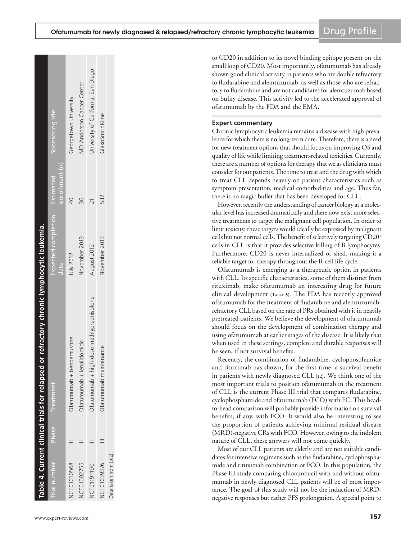|                           |       | Table 4. Current clinical trials for relapsed or refractory chronic lymphocytic leukemia. |                             |                             |                                     |
|---------------------------|-------|-------------------------------------------------------------------------------------------|-----------------------------|-----------------------------|-------------------------------------|
| Trial number <sub>l</sub> | Phase | Treatment                                                                                 | Expected completion<br>date | enrollment (n)<br>Estimated | Sponsoring site                     |
| NCT01010568               |       | Ofatumumab + bendamustine                                                                 | July 2012                   |                             | Georgetown University               |
| NCT01002755               |       | Ofatumumab + lenalidomide                                                                 | November 2013               | 36                          | <b>MD Anderson Cancer Center</b>    |
| NCT01191190               |       | Ofatumumab + high-dose methlyprednisolone                                                 | August 2012                 |                             | University of California, San Diego |
| NCT01039376               |       | Ofatumumab maintenance                                                                    | November 2013               | 532                         | GlaxoSmithKline                     |
| Data taken from [102].    |       |                                                                                           |                             |                             |                                     |
|                           |       |                                                                                           |                             |                             |                                     |

to CD20 in addition to its novel binding epitope present on the small loop of CD20. Most importantly, ofatumumab has already shown good clinical activity in patients who are double refractory to fludarabine and alemtuzumab, as well as those who are refractory to fludarabine and are not candidates for alemtuzumab based on bulky disease. This activity led to the accelerated approval of ofatumumab by the FDA and the EMA.

#### **Expert commentary**

Chronic lymphocytic leukemia remains a disease with high prevalence for which there is no long-term cure. Therefore, there is a need for new treatment options that should focus on improving OS and quality of life while limiting treatment-related toxicities. Currently, there are a number of options for therapy that we as clinicians must consider for our patients. The time to treat and the drug with which to treat CLL depends heavily on patient characteristics such as symptom presentation, medical comorbidities and age. Thus far, there is no magic bullet that has been developed for CLL.

However, recently the understanding of cancer biology at a molecular level has increased dramatically and there now exist more selective treatments to target the malignant cell population. In order to limit toxicity, these targets would ideally be expressed by malignant cells but not normal cells. The benefit of selectively targeting CD20+ cells in CLL is that it provides selective killing of B lymphocytes. Furthermore, CD20 is never internalized or shed, making it a reliable target for therapy throughout the B-cell life cycle.

Ofatumumab is emerging as a therapeutic option in patients with CLL. Its specific characteristics, some of them distinct from rituximab, make ofatumumab an interesting drug for future clinical development **(Table 5)**. The FDA has recently approved ofatumumab for the treatment of fludarabine and alemtuzumabrefractory CLL based on the rate of PRs obtained with it in heavily pretreated patients. We believe the development of ofatumumab should focus on the development of combination therapy and using ofatumumab at earlier stages of the disease. It is likely that when used in these settings, complete and durable responses will be seen, if not survival benefits.

Recently, the combination of fludarabine, cyclophosphamide and rituximab has shown, for the first time, a survival benefit in patients with newly diagnosed CLL [12]. We think one of the most important trials to position ofatumumab in the treatment of CLL is the current Phase III trial that compares fludarabine, cyclophosphamide and ofatumumab (FCO) with FC. This headto-head comparison will probably provide information on survival benefits, if any, with FCO. It would also be interesting to see the proportion of patients achieving minimal residual disease (MRD)-negative CRs with FCO. However, owing to the indolent nature of CLL, these answers will not come quickly.

Most of our CLL patients are elderly and are not suitable candidates for intensive regimens such as the fludarabine, cyclophosphamide and rituximab combination or FCO. In this population, the Phase III study comparing chlorambucil with and without ofatumumab in newly diagnosed CLL patients will be of most importance. The goal of this study will not be the induction of MRDnegative responses but rather PFS prolongation. A special point to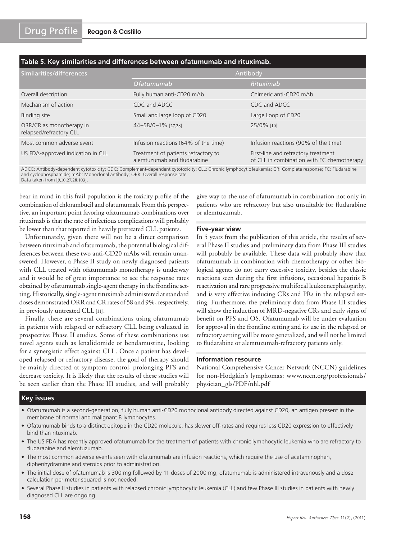#### **Table 5. Key similarities and differences between ofatumumab and rituximab.**

| Similarities/differences                            |                                                                    | Antibody                                                                          |
|-----------------------------------------------------|--------------------------------------------------------------------|-----------------------------------------------------------------------------------|
|                                                     | Ofatumumab                                                         | Rituximab                                                                         |
| Overall description                                 | Fully human anti-CD20 mAb                                          | Chimeric anti-CD20 mAb                                                            |
| Mechanism of action                                 | CDC and ADCC                                                       | CDC and ADCC                                                                      |
| Binding site                                        | Small and large loop of CD20                                       | Large Loop of CD20                                                                |
| ORR/CR as monotherapy in<br>relapsed/refractory CLL | 44-58/0-1% [27,28]                                                 | 25/0% [10]                                                                        |
| Most common adverse event                           | Infusion reactions (64% of the time)                               | Infusion reactions (90% of the time)                                              |
| US FDA-approved indication in CLL                   | Treatment of patients refractory to<br>alemtuzumab and fludarabine | First-line and refractory treatment<br>of CLL in combination with FC chemotherapy |

ADCC: Antibody-dependent cytotoxicity; CDC: Complement-dependent cytotoxicity; CLL: Chronic lymphocytic leukemia; CR: Complete response; FC: Fludarabine and cyclophosphamide; mAb: Monoclonal antibody; ORR: Overall response rate. Data taken from [9,10,27,28,103].

bear in mind in this frail population is the toxicity profile of the combination of chlorambucil and ofatumumab. From this perspective, an important point favoring ofatumumab combinations over rituximab is that the rate of infectious complications will probably be lower than that reported in heavily pretreated CLL patients.

Unfortunately, given there will not be a direct comparison between rituximab and ofatumumab, the potential biological differences between these two anti-CD20 mAbs will remain unanswered. However, a Phase II study on newly diagnosed patients with CLL treated with ofatumumab monotherapy is underway and it would be of great importance to see the response rates obtained by ofatumumab single-agent therapy in the frontline setting. Historically, single-agent rituximab administered at standard doses demonstrated ORR and CR rates of 58 and 9%, respectively, in previously untreated CLL [11].

Finally, there are several combinations using ofatumumab in patients with relapsed or refractory CLL being evaluated in prospective Phase II studies. Some of these combinations use novel agents such as lenalidomide or bendamustine, looking for a synergistic effect against CLL. Once a patient has developed relapsed or refractory disease, the goal of therapy should be mainly directed at symptom control, prolonging PFS and decrease toxicity. It is likely that the results of these studies will be seen earlier than the Phase III studies, and will probably

give way to the use of ofatumumab in combination not only in patients who are refractory but also unsuitable for fludarabine or alemtuzumab.

#### **Five-year view**

In 5 years from the publication of this article, the results of several Phase II studies and preliminary data from Phase III studies will probably be available. These data will probably show that ofatumumab in combination with chemotherapy or other biological agents do not carry excessive toxicity, besides the classic reactions seen during the first infusions, occasional hepatitis B reactivation and rare progressive multifocal leukoencephalopathy, and is very effective inducing CRs and PRs in the relapsed setting. Furthermore, the preliminary data from Phase III studies will show the induction of MRD-negative CRs and early signs of benefit on PFS and OS. Ofatumumab will be under evaluation for approval in the frontline setting and its use in the relapsed or refractory setting will be more generalized, and will not be limited to fludarabine or alemtuzumab-refractory patients only.

#### **Information resource**

National Comprehensive Cancer Network (NCCN) guidelines for non-Hodgkin's lymphomas: www.nccn.org/professionals/ physician\_gls/PDF/nhl.pdf

#### **Key issues**

- Ofatumumab is a second-generation, fully human anti-CD20 monoclonal antibody directed against CD20, an antigen present in the membrane of normal and malignant B lymphocytes.
- Ofatumumab binds to a distinct epitope in the CD20 molecule, has slower off-rates and requires less CD20 expression to effectively bind than rituximab.
- The US FDA has recently approved ofatumumab for the treatment of patients with chronic lymphocytic leukemia who are refractory to fludarabine and alemtuzumab.
- The most common adverse events seen with ofatumumab are infusion reactions, which require the use of acetaminophen, diphenhydramine and steroids prior to administration.
- The initial dose of ofatumumab is 300 mg followed by 11 doses of 2000 mg; ofatumumab is administered intravenously and a dose calculation per meter squared is not needed.
- Several Phase II studies in patients with relapsed chronic lymphocytic leukemia (CLL) and few Phase III studies in patients with newly diagnosed CLL are ongoing.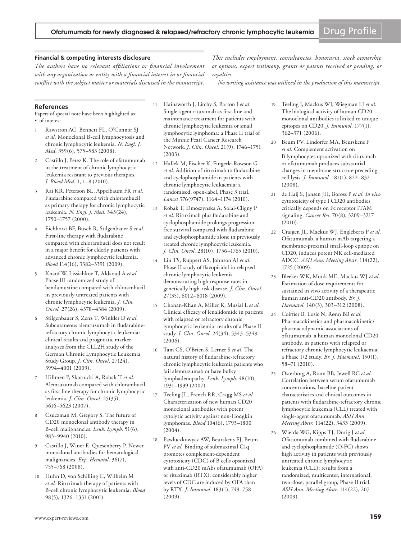#### **Financial & competing interests disclosure**

*The authors have no relevant affiliations or financial involvement with any organization or entity with a financial interest in or financial conflict with the subject matter or materials discussed in the manuscript.* 

*This includes employment, consultancies, honoraria, stock ownership or options, expert testimony, grants or patents received or pending, or royalties.*

*No writing assistance was utilized in the production of this manuscript.*

#### **References**

Papers of special note have been highlighted as: • of interest

- 1 Rawstron AC, Bennett FL, O'Connor SJ *et al.* Monoclonal B-cell lymphocytosis and chronic lymphocytic leukemia. *N. Engl. J. Med.* 359(6), 575–583 (2008).
- 2 Castillo J, Perez K. The role of ofatumumab in the treatment of chronic lymphocytic leukemia resistant to previous therapies. *J. Blood Med.* 1, 1–8 (2010).
- 3 Rai KR, Peterson BL, Appelbaum FR *et al.* Fludarabine compared with chlorambucil as primary therapy for chronic lymphocytic leukemia. *N. Engl. J. Med.* 343(24), 1750–1757 (2000).
- 4 Eichhorst BF, Busch R, Stilgenbauer S *et al.* First-line therapy with fludarabine compared with chlorambucil does not result in a major benefit for elderly patients with advanced chronic lymphocytic leukemia. *Blood* 114(16), 3382–3391 (2009).
- 5 Knauf W, Lissichkov T, Aldaoud A *et al.* Phase III randomized study of bendamustine compared with chlorambucil in previously untreated patients with chronic lymphocytic leukemia. *J. Clin. Oncol.* 27(26), 4378–4384 (2009).
- 6 Stilgenbauer S, Zenz T, Winkler D *et al.* Subcutaneous alemtuzumab in fludarabinerefractory chronic lymphocytic leukemia: clinical results and prognostic marker analyses from the CLL2H study of the German Chronic Lymphocytic Leukemia Study Group. *J. Clin. Oncol.* 27(24), 3994–4001 (2009).
- 7 Hillmen P, Skotnicki A, Robak T *et al.* Alemtuzumab compared with chlorambucil as first-line therapy for chronic lymphocytic leukemia. *J. Clin. Oncol.* 25(35), 5616–5623 (2007).
- 8 Czuczman M, Gregory S. The future of CD20 monoclonal antibody therapy in B-cell malignancies. *Leuk. Lymph.* 51(6), 983–9940 (2010).
- 9 Castillo J, Winer E, Quesenberry P. Newer monoclonal antibodies for hematological malignancies. *Exp. Hematol.* 36(7), 755–768 (2008).
- 10 Huhn D, von Schilling C, Wilhelm M *et al.* Rituximab therapy of patients with B-cell chronic lymphocytic leukemia. *Blood*  98(5), 1326–1331 (2001).
- 11 Hainsworth J, Litchy S, Barton J *et al.* Single-agent rituximab as first-line and maintenance treatment for patients with chronic lymphocytic leukemia or small lymphocytic lymphoma: a Phase II trial of the Minnie Pearl Cancer Research Network. *J. Clin. Oncol.* 21(9), 1746–1751 (2003).
- 12 Hallek M, Fischer K, Fingerle-Rowson G *et al.* Addition of rituximab to fludarabine and cyclophosphamide in patients with chronic lymphocytic leukaemia: a randomised, open-label, Phase 3 trial. *Lancet* 376(9747), 1164–1174 (2010).
- 13 Robak T, Dmoszynska A, Solal-Cligny P *et al.* Rituximab plus fludarabine and cyclophosphamide prolongs progressionfree survival compared with fludarabine and cyclophosphamide alone in previously treated chronic lymphocytic leukemia. *J. Clin. Oncol.* 28(10), 1756–1765 (2010).
- 14 Lin TS, Ruppert AS, Johnson AJ *et al.* Phase II study of flavopiridol in relapsed chronic lymphocytic leukemia demonstrating high response rates in genetically high-risk disease. *J. Clin. Oncol.*  27(35), 6012–6018 (2009).
- 15 Chanan-Khan A, Miller K, Musial L *et al.* Clinical efficacy of lenalidomide in patients with relapsed or refractory chronic lymphocytic leukemia: results of a Phase II study. *J. Clin. Oncol.* 24(34), 5343–5349 (2006).
- 16 Tam CS, O'Brien S, Lerner S *et al.* The natural history of fludarabine-refractory chronic lymphocytic leukemia patients who fail alemtuzumab or have bulky lymphadenopathy. *Leuk. Lymph.* 48(10), 1931–1939 (2007).
- 17 Teeling JL, French RR, Cragg MS *et al.* Characterization of new human CD20 monoclonal antibodies with potent cytolytic activity against non-Hodgkin lymphomas. *Blood* 104(6), 1793–1800  $(2004)$
- 18 Pawluczkowycz AW, Beurskens FJ, Beum PV *et al.* Binding of submaximal C1q promotes complement-dependent cytotoxicity (CDC) of B cells opsonized with anti-CD20 mAbs ofatumumab (OFA) or rituximab (RTX): considerably higher levels of CDC are induced by OFA than by RTX. *J. Immunol.* 183(1), 749–758 (2009).
- 19 Teeling J, Mackus WJ, Wiegman LJ *et al.* The biological activity of human CD20 monoclonal antibodies is linked to unique epitopes on CD20. *J. Immunol.* 177(1), 362–371 (2006).
- 20 Beum PV, Lindorfer MA, Beurskens F *et al.* Complement activation on B lymphocytes opsonized with rituximab or ofatumumab produces substantial changes in membrane structure preceding cell lysis. *J. Immunol.* 181(1), 822–832 (2008).
- 21 de Haij S, Jansen JH, Boross P *et al. In vivo* cytotoxicity of type I CD20 antibodies critically depends on Fc receptor ITAM signaling. *Cancer Res.* 70(8), 3209–3217 (2010).
- 22 Craigen JL, Mackus WJ, Engleberts P *et al.* Ofatumumab, a human mAb targeting a membrane-proximal small-loop epitope on CD20, induces potent NK cell-mediated ADCC. *ASH Ann. Meeting Abstr.* 114(22), 1725 (2009).
- 23 Bleeker WK, Munk ME, Mackus WJ *et al.* Estimation of dose requirements for sustained in vivo activity of a therapeutic human anti-CD20 antibody. *Br. J. Haematol.* 140(3), 303–312 (2008).
- 24 Coiffier B, Losic N, Rønn BB *et al.* Pharmacokinetics and pharmacokinetic/ pharmacodynamic associations of ofatumumab, a human monoclonal CD20 antibody, in patients with relapsed or refractory chronic lymphocytic leukaemia: a Phase 1/2 study. *Br. J. Haematol.* 150(1), 58–71 (2010).
- 25 Osterborg A, Ronn BB, Jewell RC *et al.* Correlation between serum ofatumumab concentrations, baseline patient characteristics and clinical outcomes in patients with fludarabine-refractory chronic lymphocytic leukemia (CLL) treated with single-agent ofatumumab. *ASH Ann. Meeting Abstr.* 114(22), 3433 (2009).
- 26 Wierda WG, Kipps TJ, Durig J *et al.* Ofatumumab combined with fludarabine and cyclophosphamide (O-FC) shows high activity in patients with previously untreated chronic lymphocytic leukemia (CLL): results from a randomized, multicenter, international, two-dose, parallel group, Phase II trial. *ASH Ann. Meeting Abstr.* 114(22), 207 (2009).